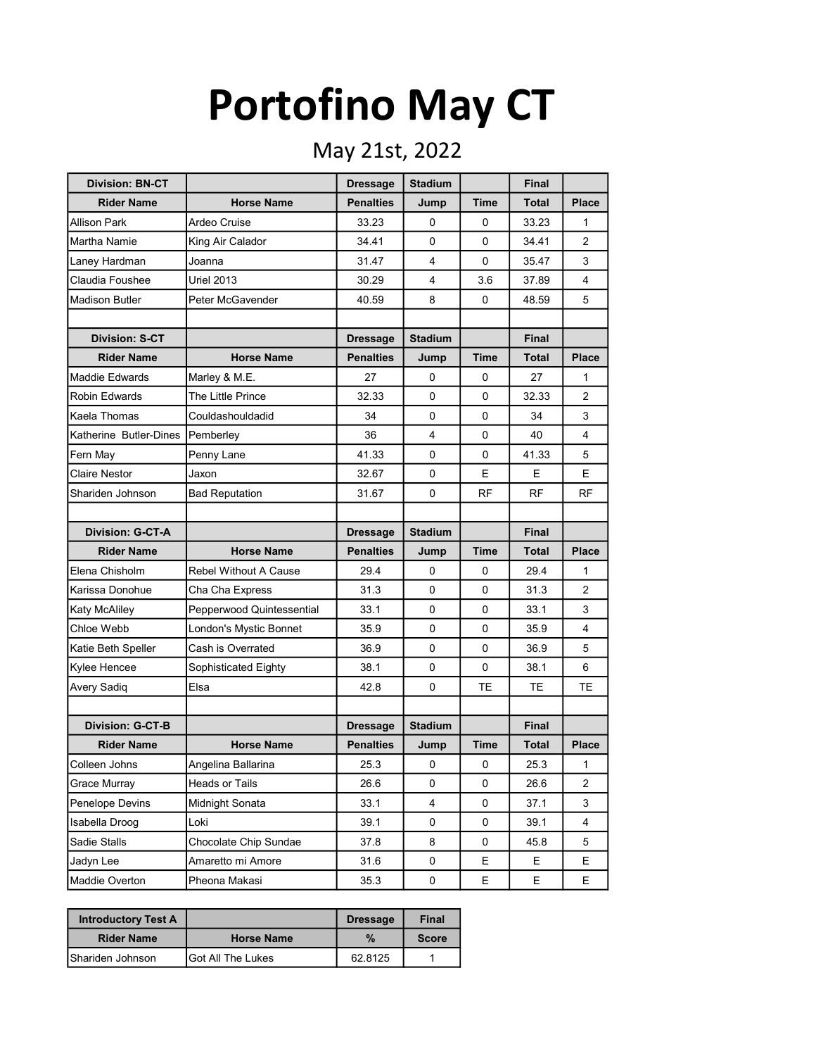## Portofino May CT

## May 21st, 2022

| <b>Division: BN-CT</b> |                           | <b>Dressage</b>  | <b>Stadium</b> |             | <b>Final</b> |                |
|------------------------|---------------------------|------------------|----------------|-------------|--------------|----------------|
| <b>Rider Name</b>      | <b>Horse Name</b>         | <b>Penalties</b> | Jump           | Time        | <b>Total</b> | <b>Place</b>   |
| Allison Park           | Ardeo Cruise              | 33.23            | 0              | 0           | 33.23        | 1              |
| Martha Namie           | King Air Calador          | 34.41            | 0              | 0           | 34.41        | 2              |
| Laney Hardman          | Joanna                    | 31.47            | 4              | $\Omega$    | 35.47        | 3              |
| Claudia Foushee        | <b>Uriel 2013</b>         | 30.29            | 4              | 3.6         | 37.89        | 4              |
| <b>Madison Butler</b>  | Peter McGavender          | 40.59            | 8              | 0           | 48.59        | 5              |
|                        |                           |                  |                |             |              |                |
| <b>Division: S-CT</b>  |                           | <b>Dressage</b>  | <b>Stadium</b> |             | <b>Final</b> |                |
| <b>Rider Name</b>      | <b>Horse Name</b>         | <b>Penalties</b> | Jump           | <b>Time</b> | Total        | <b>Place</b>   |
| <b>Maddie Edwards</b>  | Marley & M.E.             | 27               | 0              | 0           | 27           | 1              |
| <b>Robin Edwards</b>   | The Little Prince         | 32.33            | 0              | $\Omega$    | 32.33        | $\overline{2}$ |
| Kaela Thomas           | Couldashouldadid          | 34               | 0              | 0           | 34           | 3              |
| Katherine Butler-Dines | Pemberley                 | 36               | 4              | 0           | 40           | 4              |
| Fern May               | Penny Lane                | 41.33            | 0              | 0           | 41.33        | 5              |
| Claire Nestor          | Jaxon                     | 32.67            | 0              | E.          | E.           | E.             |
| Shariden Johnson       | <b>Bad Reputation</b>     | 31.67            | 0              | <b>RF</b>   | <b>RF</b>    | <b>RF</b>      |
|                        |                           |                  |                |             |              |                |
| Division: G-CT-A       |                           | <b>Dressage</b>  | <b>Stadium</b> |             | Final        |                |
| <b>Rider Name</b>      | <b>Horse Name</b>         | <b>Penalties</b> | Jump           | Time        | Total        | <b>Place</b>   |
| Elena Chisholm         | Rebel Without A Cause     | 29.4             | 0              | 0           | 29.4         | 1              |
| Karissa Donohue        | Cha Cha Express           | 31.3             | 0              | 0           | 31.3         | $\overline{2}$ |
| Katy McAliley          | Pepperwood Quintessential | 33.1             | 0              | 0           | 33.1         | 3              |
| Chloe Webb             | London's Mystic Bonnet    | 35.9             | 0              | 0           | 35.9         | 4              |
| Katie Beth Speller     | Cash is Overrated         | 36.9             | 0              | 0           | 36.9         | 5              |
| Kylee Hencee           | Sophisticated Eighty      | 38.1             | 0              | 0           | 38.1         | 6              |
| Avery Sadiq            | Elsa                      | 42.8             | 0              | ТE          | TE           | ТE             |
|                        |                           |                  |                |             |              |                |
| Division: G-CT-B       |                           | <b>Dressage</b>  | <b>Stadium</b> |             | Final        |                |
| <b>Rider Name</b>      | <b>Horse Name</b>         | <b>Penalties</b> | Jump           | Time        | <b>Total</b> | <b>Place</b>   |
| Colleen Johns          | Angelina Ballarina        | 25.3             | 0              | 0           | 25.3         | 1              |
| Grace Murray           | Heads or Tails            | 26.6             | 0              | 0           | 26.6         | 2              |
| Penelope Devins        | Midnight Sonata           | 33.1             | 4              | 0           | 37.1         | 3              |
| Isabella Droog         | Loki                      | 39.1             | 0              | 0           | 39.1         | 4              |
| Sadie Stalls           | Chocolate Chip Sundae     | 37.8             | 8              | 0           | 45.8         | 5              |
| Jadyn Lee              | Amaretto mi Amore         | 31.6             | 0              | Е           | E.           | Е              |
| Maddie Overton         | Pheona Makasi             | 35.3             | 0              | Е           | E.           | E              |

| <b>Introductory Test A</b> |                    | <b>Dressage</b> | <b>Final</b> |
|----------------------------|--------------------|-----------------|--------------|
| <b>Rider Name</b>          | <b>Horse Name</b>  | $\%$            | <b>Score</b> |
| <b>I</b> Shariden Johnson  | IGot All The Lukes | 62.8125         |              |